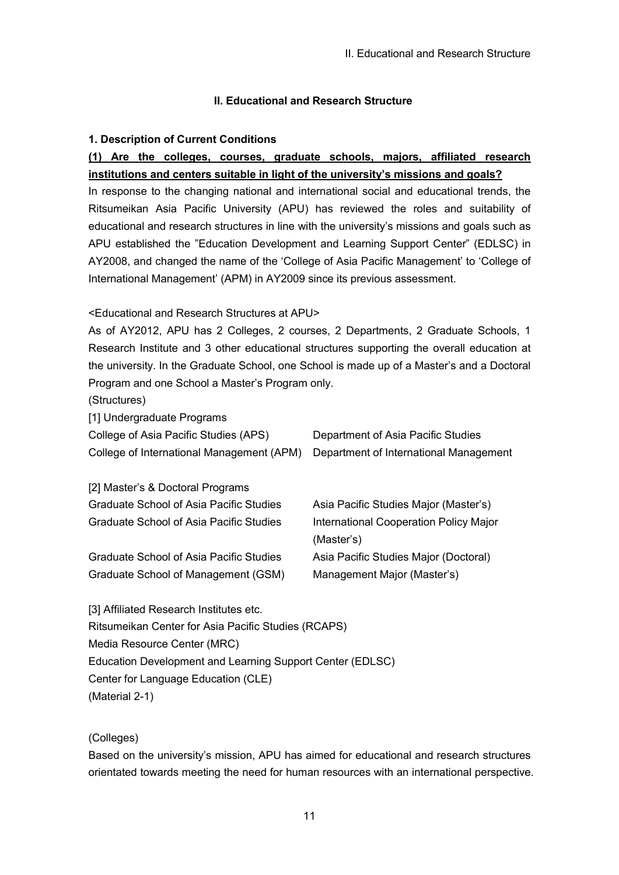## **1. Description of Current Conditions**

# **(1) Are the colleges, courses, graduate schools, majors, affiliated research institutions and centers suitable in light of the university's missions and goals?**

In response to the changing national and international social and educational trends, the Ritsumeikan Asia Pacific University (APU) has reviewed the roles and suitability of educational and research structures in line with the university's missions and goals such as APU established the "Education Development and Learning Support Center" (EDLSC) in AY2008, and changed the name of the 'College of Asia Pacific Management' to 'College of International Management' (APM) in AY2009 since its previous assessment.

<Educational and Research Structures at APU>

As of AY2012, APU has 2 Colleges, 2 courses, 2 Departments, 2 Graduate Schools, 1 Research Institute and 3 other educational structures supporting the overall education at the university. In the Graduate School, one School is made up of a Master's and a Doctoral Program and one School a Master's Program only.

(Structures)

[1] Undergraduate Programs

| College of Asia Pacific Studies (APS)                                            | Department of Asia Pacific Studies |
|----------------------------------------------------------------------------------|------------------------------------|
| College of International Management (APM) Department of International Management |                                    |

| [2] Master's & Doctoral Programs               |                                               |
|------------------------------------------------|-----------------------------------------------|
| <b>Graduate School of Asia Pacific Studies</b> | Asia Pacific Studies Major (Master's)         |
| Graduate School of Asia Pacific Studies        | <b>International Cooperation Policy Major</b> |
|                                                | (Master's)                                    |
| Graduate School of Asia Pacific Studies        | Asia Pacific Studies Major (Doctoral)         |
| Graduate School of Management (GSM)            | Management Major (Master's)                   |
|                                                |                                               |

[3] Affiliated Research Institutes etc. Ritsumeikan Center for Asia Pacific Studies (RCAPS) Media Resource Center (MRC) Education Development and Learning Support Center (EDLSC) Center for Language Education (CLE) (Material 2-1)

(Colleges)

Based on the university's mission, APU has aimed for educational and research structures orientated towards meeting the need for human resources with an international perspective.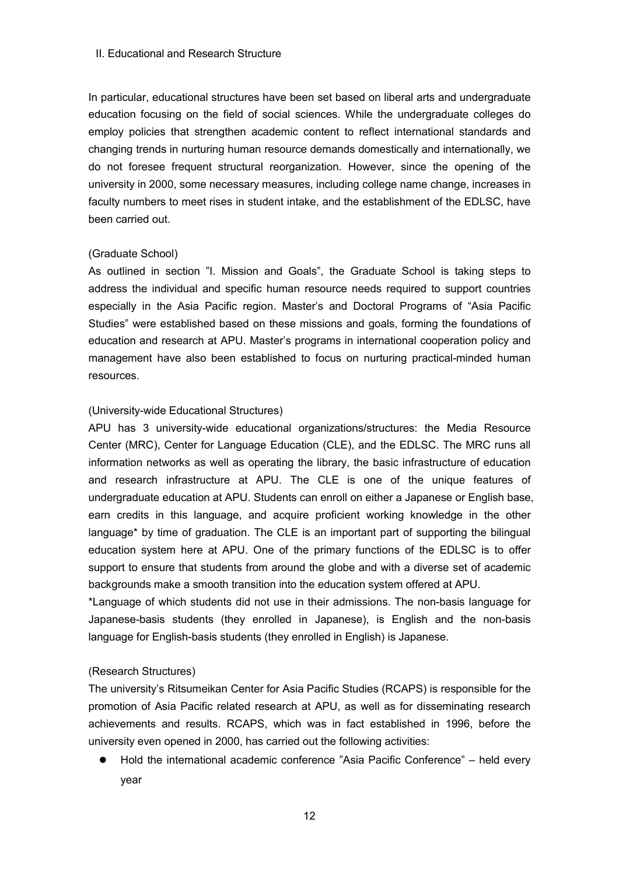In particular, educational structures have been set based on liberal arts and undergraduate education focusing on the field of social sciences. While the undergraduate colleges do employ policies that strengthen academic content to reflect international standards and changing trends in nurturing human resource demands domestically and internationally, we do not foresee frequent structural reorganization. However, since the opening of the university in 2000, some necessary measures, including college name change, increases in faculty numbers to meet rises in student intake, and the establishment of the EDLSC, have been carried out.

### (Graduate School)

As outlined in section "I. Mission and Goals", the Graduate School is taking steps to address the individual and specific human resource needs required to support countries especially in the Asia Pacific region. Master's and Doctoral Programs of "Asia Pacific Studies" were established based on these missions and goals, forming the foundations of education and research at APU. Master's programs in international cooperation policy and management have also been established to focus on nurturing practical-minded human resources.

### (University-wide Educational Structures)

APU has 3 university-wide educational organizations/structures: the Media Resource Center (MRC), Center for Language Education (CLE), and the EDLSC. The MRC runs all information networks as well as operating the library, the basic infrastructure of education and research infrastructure at APU. The CLE is one of the unique features of undergraduate education at APU. Students can enroll on either a Japanese or English base, earn credits in this language, and acquire proficient working knowledge in the other language\* by time of graduation. The CLE is an important part of supporting the bilingual education system here at APU. One of the primary functions of the EDLSC is to offer support to ensure that students from around the globe and with a diverse set of academic backgrounds make a smooth transition into the education system offered at APU.

\*Language of which students did not use in their admissions. The non-basis language for Japanese-basis students (they enrolled in Japanese), is English and the non-basis language for English-basis students (they enrolled in English) is Japanese.

### (Research Structures)

The university's Ritsumeikan Center for Asia Pacific Studies (RCAPS) is responsible for the promotion of Asia Pacific related research at APU, as well as for disseminating research achievements and results. RCAPS, which was in fact established in 1996, before the university even opened in 2000, has carried out the following activities:

Hold the international academic conference "Asia Pacific Conference" – held every year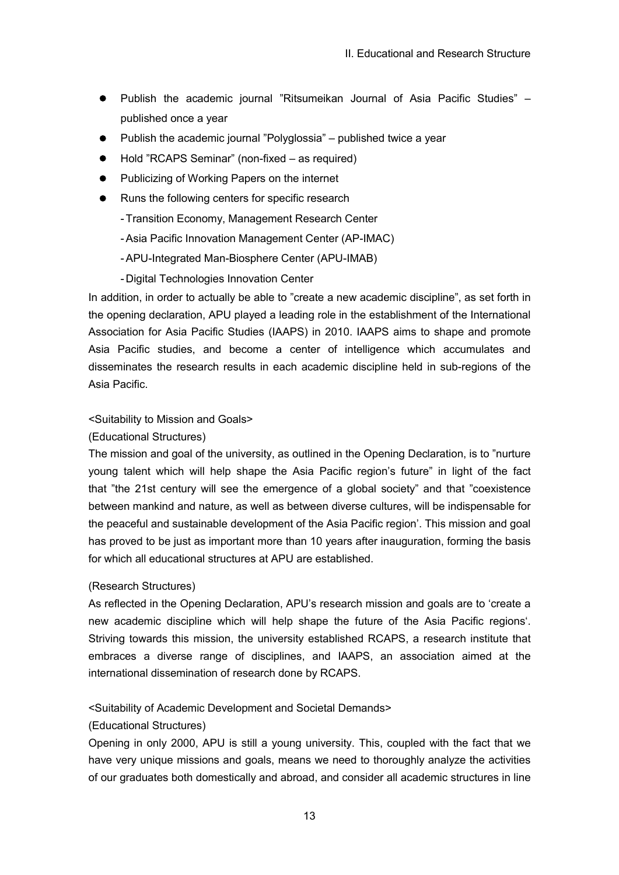- Publish the academic journal "Ritsumeikan Journal of Asia Pacific Studies" published once a year
- Publish the academic journal "Polyglossia" published twice a year
- Hold "RCAPS Seminar" (non-fixed as required)
- Publicizing of Working Papers on the internet
- Runs the following centers for specific research
	- -Transition Economy, Management Research Center
	- -Asia Pacific Innovation Management Center (AP-IMAC)
	- -APU-Integrated Man-Biosphere Center (APU-IMAB)
	- -Digital Technologies Innovation Center

In addition, in order to actually be able to "create a new academic discipline", as set forth in the opening declaration, APU played a leading role in the establishment of the International Association for Asia Pacific Studies (IAAPS) in 2010. IAAPS aims to shape and promote Asia Pacific studies, and become a center of intelligence which accumulates and disseminates the research results in each academic discipline held in sub-regions of the Asia Pacific.

### <Suitability to Mission and Goals>

### (Educational Structures)

The mission and goal of the university, as outlined in the Opening Declaration, is to "nurture young talent which will help shape the Asia Pacific region's future" in light of the fact that "the 21st century will see the emergence of a global society" and that "coexistence between mankind and nature, as well as between diverse cultures, will be indispensable for the peaceful and sustainable development of the Asia Pacific region'. This mission and goal has proved to be just as important more than 10 years after inauguration, forming the basis for which all educational structures at APU are established.

### (Research Structures)

As reflected in the Opening Declaration, APU's research mission and goals are to 'create a new academic discipline which will help shape the future of the Asia Pacific regions'. Striving towards this mission, the university established RCAPS, a research institute that embraces a diverse range of disciplines, and IAAPS, an association aimed at the international dissemination of research done by RCAPS.

### <Suitability of Academic Development and Societal Demands>

### (Educational Structures)

Opening in only 2000, APU is still a young university. This, coupled with the fact that we have very unique missions and goals, means we need to thoroughly analyze the activities of our graduates both domestically and abroad, and consider all academic structures in line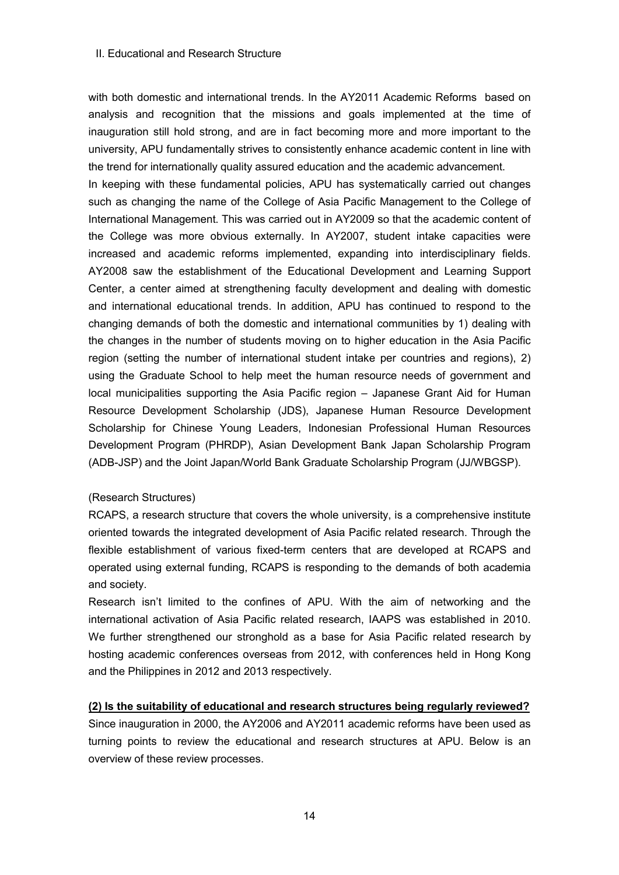with both domestic and international trends. In the AY2011 Academic Reforms based on analysis and recognition that the missions and goals implemented at the time of inauguration still hold strong, and are in fact becoming more and more important to the university, APU fundamentally strives to consistently enhance academic content in line with the trend for internationally quality assured education and the academic advancement.

In keeping with these fundamental policies, APU has systematically carried out changes such as changing the name of the College of Asia Pacific Management to the College of International Management. This was carried out in AY2009 so that the academic content of the College was more obvious externally. In AY2007, student intake capacities were increased and academic reforms implemented, expanding into interdisciplinary fields. AY2008 saw the establishment of the Educational Development and Learning Support Center, a center aimed at strengthening faculty development and dealing with domestic and international educational trends. In addition, APU has continued to respond to the changing demands of both the domestic and international communities by 1) dealing with the changes in the number of students moving on to higher education in the Asia Pacific region (setting the number of international student intake per countries and regions), 2) using the Graduate School to help meet the human resource needs of government and local municipalities supporting the Asia Pacific region – Japanese Grant Aid for Human Resource Development Scholarship (JDS), Japanese Human Resource Development Scholarship for Chinese Young Leaders, Indonesian Professional Human Resources Development Program (PHRDP), Asian Development Bank Japan Scholarship Program (ADB-JSP) and the Joint Japan/World Bank Graduate Scholarship Program (JJ/WBGSP).

#### (Research Structures)

RCAPS, a research structure that covers the whole university, is a comprehensive institute oriented towards the integrated development of Asia Pacific related research. Through the flexible establishment of various fixed-term centers that are developed at RCAPS and operated using external funding, RCAPS is responding to the demands of both academia and society.

Research isn't limited to the confines of APU. With the aim of networking and the international activation of Asia Pacific related research, IAAPS was established in 2010. We further strengthened our stronghold as a base for Asia Pacific related research by hosting academic conferences overseas from 2012, with conferences held in Hong Kong and the Philippines in 2012 and 2013 respectively.

### **(2) Is the suitability of educational and research structures being regularly reviewed?**

Since inauguration in 2000, the AY2006 and AY2011 academic reforms have been used as turning points to review the educational and research structures at APU. Below is an overview of these review processes.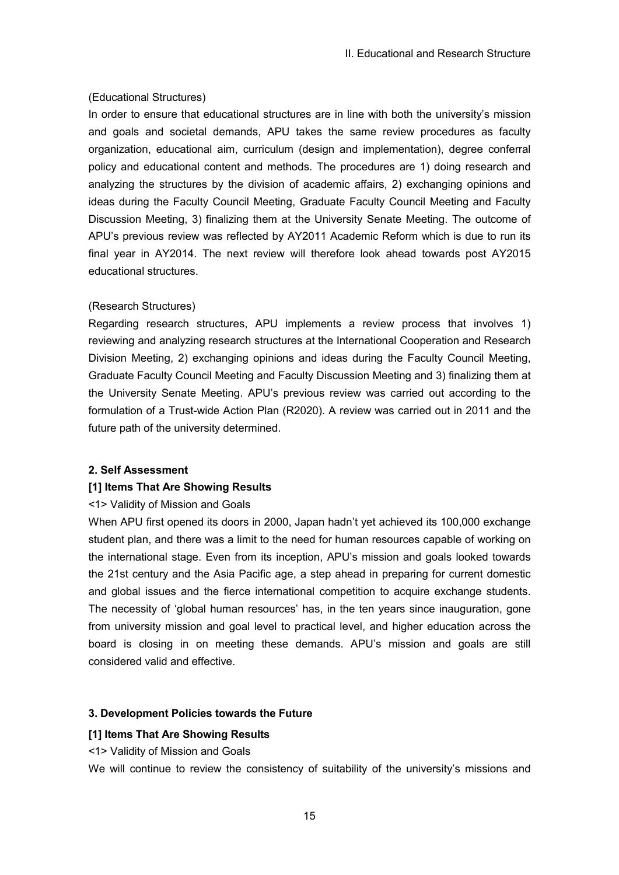### (Educational Structures)

In order to ensure that educational structures are in line with both the university's mission and goals and societal demands, APU takes the same review procedures as faculty organization, educational aim, curriculum (design and implementation), degree conferral policy and educational content and methods. The procedures are 1) doing research and analyzing the structures by the division of academic affairs, 2) exchanging opinions and ideas during the Faculty Council Meeting, Graduate Faculty Council Meeting and Faculty Discussion Meeting, 3) finalizing them at the University Senate Meeting. The outcome of APU's previous review was reflected by AY2011 Academic Reform which is due to run its final year in AY2014. The next review will therefore look ahead towards post AY2015 educational structures.

### (Research Structures)

Regarding research structures, APU implements a review process that involves 1) reviewing and analyzing research structures at the International Cooperation and Research Division Meeting, 2) exchanging opinions and ideas during the Faculty Council Meeting, Graduate Faculty Council Meeting and Faculty Discussion Meeting and 3) finalizing them at the University Senate Meeting. APU's previous review was carried out according to the formulation of a Trust-wide Action Plan (R2020). A review was carried out in 2011 and the future path of the university determined.

#### **2. Self Assessment**

#### **[1] Items That Are Showing Results**

#### <1> Validity of Mission and Goals

When APU first opened its doors in 2000, Japan hadn't yet achieved its 100,000 exchange student plan, and there was a limit to the need for human resources capable of working on the international stage. Even from its inception, APU's mission and goals looked towards the 21st century and the Asia Pacific age, a step ahead in preparing for current domestic and global issues and the fierce international competition to acquire exchange students. The necessity of 'global human resources' has, in the ten years since inauguration, gone from university mission and goal level to practical level, and higher education across the board is closing in on meeting these demands. APU's mission and goals are still considered valid and effective.

### **3. Development Policies towards the Future**

#### **[1] Items That Are Showing Results**

<1> Validity of Mission and Goals

We will continue to review the consistency of suitability of the university's missions and